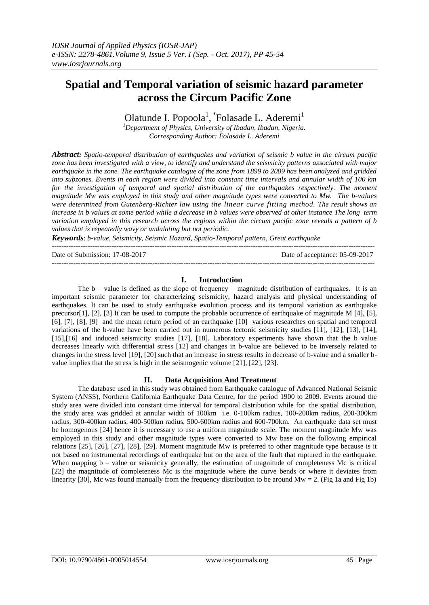# **Spatial and Temporal variation of seismic hazard parameter across the Circum Pacific Zone**

Olatunde I. Popoola<sup>1</sup>, <sup>\*</sup>Folasade L. Aderemi<sup>1</sup>

*<sup>1</sup>Department of Physics, University of Ibadan, Ibadan, Nigeria. Corresponding Author: Folasade L. Aderemi*

*Abstract: Spatio-temporal distribution of earthquakes and variation of seismic b value in the circum pacific zone has been investigated with a view, to identify and understand the seismicity patterns associated with major earthquake in the zone. The earthquake catalogue of the zone from 1899 to 2009 has been analyzed and gridded into subzones. Events in each region were divided into constant time intervals and annular width of 100 km for the investigation of temporal and spatial distribution of the earthquakes respectively. The moment magnitude Mw was employed in this study and other magnitude types were converted to Mw. The b-values were determined from Gutenberg-Richter law using the linear curve fitting method. The result shows an increase in b values at some period while a decrease in b values were observed at other instance The long term variation employed in this research across the regions within the circum pacific zone reveals a pattern of b values that is repeatedly wavy or undulating but not periodic.* 

*Keywords*: *b-value, Seismicity, Seismic Hazard, Spatio-Temporal pattern, Great earthquake*

--------------------------------------------------------------------------------------------------------------------------------------- Date of Submission: 17-08-2017 Date of acceptance: 05-09-2017 ---------------------------------------------------------------------------------------------------------------------------------------

## **I. Introduction**

The  $b -$  value is defined as the slope of frequency – magnitude distribution of earthquakes. It is an important seismic parameter for characterizing seismicity, hazard analysis and physical understanding of earthquakes. It can be used to study earthquake evolution process and its temporal variation as earthquake precursor[1], [2], [3] It can be used to compute the probable occurrence of earthquake of magnitude M [4], [5], [6], [7], [8], [9] and the mean return period of an earthquake [10] various researches on spatial and temporal variations of the b-value have been carried out in numerous tectonic seismicity studies [11], [12], [13], [14], [15],[16] and induced seismicity studies [17], [18]. Laboratory experiments have shown that the b value decreases linearly with differential stress [12] and changes in b-value are believed to be inversely related to changes in the stress level [19], [20] such that an increase in stress results in decrease of b-value and a smaller bvalue implies that the stress is high in the seismogenic volume [21], [22], [23].

## **II. Data Acquisition And Treatment**

The database used in this study was obtained from Earthquake catalogue of Advanced National Seismic System (ANSS), Northern California Earthquake Data Centre, for the period 1900 to 2009. Events around the study area were divided into constant time interval for temporal distribution while for the spatial distribution, the study area was gridded at annular width of 100km i.e. 0-100km radius, 100-200km radius, 200-300km radius, 300-400km radius, 400-500km radius, 500-600km radius and 600-700km. An earthquake data set must be homogenous [24] hence it is necessary to use a uniform magnitude scale. The moment magnitude Mw was employed in this study and other magnitude types were converted to Mw base on the following empirical relations [25], [26], [27], [28], [29]. Moment magnitude Mw is preferred to other magnitude type because is it not based on instrumental recordings of earthquake but on the area of the fault that ruptured in the earthquake. When mapping  $b -$  value or seismicity generally, the estimation of magnitude of completeness Mc is critical [22] the magnitude of completeness Mc is the magnitude where the curve bends or where it deviates from linearity [30], Mc was found manually from the frequency distribution to be around  $Mw = 2$ . (Fig 1a and Fig 1b)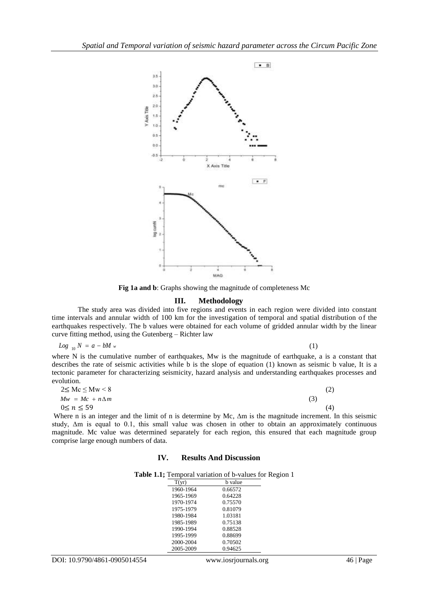

**Fig 1a and b**: Graphs showing the magnitude of completeness Mc

### **III. Methodology**

The study area was divided into five regions and events in each region were divided into constant time intervals and annular width of 100 km for the investigation of temporal and spatial distribution of the earthquakes respectively. The b values were obtained for each volume of gridded annular width by the linear curve fitting method, using the Gutenberg – Richter law

$$
Log_{10} N = a - bM w \tag{1}
$$

where N is the cumulative number of earthquakes, Mw is the magnitude of earthquake, a is a constant that describes the rate of seismic activities while b is the slope of equation (1) known as seismic b value, It is a tectonic parameter for characterizing seismicity, hazard analysis and understanding earthquakes processes and evolution.

| $2 \leq Mc \leq Mw < 8$ |  |  |     |
|-------------------------|--|--|-----|
| $Mw = Mc + n\Delta m$   |  |  | (3) |
| $0 \leq n \leq 59$      |  |  | (4  |

Where n is an integer and the limit of n is determine by Mc,  $\Delta m$  is the magnitude increment. In this seismic study, ∆m is equal to 0.1, this small value was chosen in other to obtain an approximately continuous magnitude. Mc value was determined separately for each region, this ensured that each magnitude group comprise large enough numbers of data.

## **IV. Results And Discussion**

**Table 1.1;** Temporal variation of b-values for Region 1

| T(yr)     | b value |
|-----------|---------|
| 1960-1964 | 0.66572 |
| 1965-1969 | 0.64228 |
| 1970-1974 | 0.75570 |
| 1975-1979 | 0.81079 |
| 1980-1984 | 1.03181 |
| 1985-1989 | 0.75138 |
| 1990-1994 | 0.88528 |
| 1995-1999 | 0.88699 |
| 2000-2004 | 0.70502 |
| 2005-2009 | 0.94625 |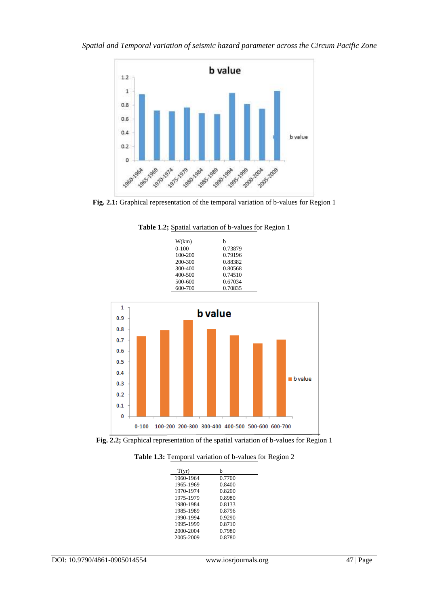

**Fig. 2.1:** Graphical representation of the temporal variation of b-values for Region 1



**Table 1.2;** Spatial variation of b-values for Region 1



**Fig. 2.2;** Graphical representation of the spatial variation of b-values for Region 1

**Table 1.3:** Temporal variation of b-values for Region 2

| T(yr)     | b      |
|-----------|--------|
| 1960-1964 | 0.7700 |
| 1965-1969 | 0.8400 |
| 1970-1974 | 0.8200 |
| 1975-1979 | 0.8980 |
| 1980-1984 | 0.8133 |
| 1985-1989 | 0.8796 |
| 1990-1994 | 0.9290 |
| 1995-1999 | 0.8710 |
| 2000-2004 | 0.7980 |
| 2005-2009 | 0.8780 |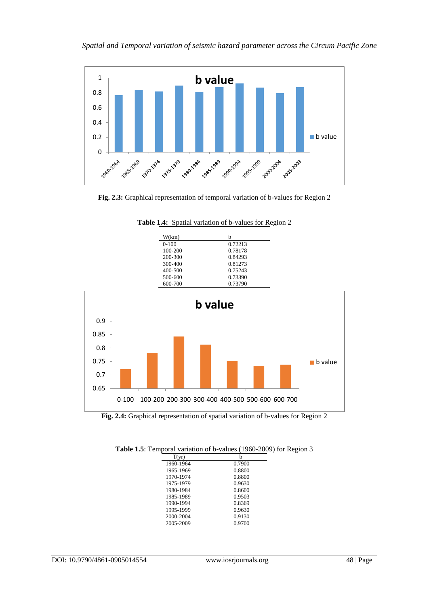

**Fig. 2.3:** Graphical representation of temporal variation of b-values for Region 2



**Table 1.4:** Spatial variation of b-values for Region 2

**Fig. 2.4:** Graphical representation of spatial variation of b-values for Region 2

| T(yr)     | h      |
|-----------|--------|
| 1960-1964 | 0.7900 |
| 1965-1969 | 0.8800 |
| 1970-1974 | 0.8800 |
| 1975-1979 | 0.9630 |
| 1980-1984 | 0.8600 |
| 1985-1989 | 0.9503 |
| 1990-1994 | 0.8369 |
| 1995-1999 | 0.9630 |
| 2000-2004 | 0.9130 |
| 2005-2009 | 0.9700 |

**Table 1.5**: Temporal variation of b-values (1960-2009) for Region 3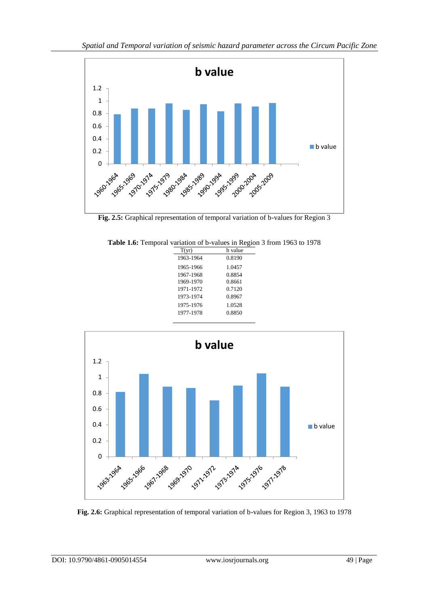

**Fig. 2.5:** Graphical representation of temporal variation of b-values for Region 3

|  | Table 1.6: Temporal variation of b-values in Region 3 from 1963 to 1978 |  |  |
|--|-------------------------------------------------------------------------|--|--|
|  |                                                                         |  |  |

| T(yr)     | b value |
|-----------|---------|
| 1963-1964 | 0.8190  |
| 1965-1966 | 1.0457  |
| 1967-1968 | 0.8854  |
| 1969-1970 | 0.8661  |
| 1971-1972 | 0.7120  |
| 1973-1974 | 0.8967  |
| 1975-1976 | 1.0528  |
| 1977-1978 | 0.8850  |
|           |         |



**Fig. 2.6:** Graphical representation of temporal variation of b-values for Region 3, 1963 to 1978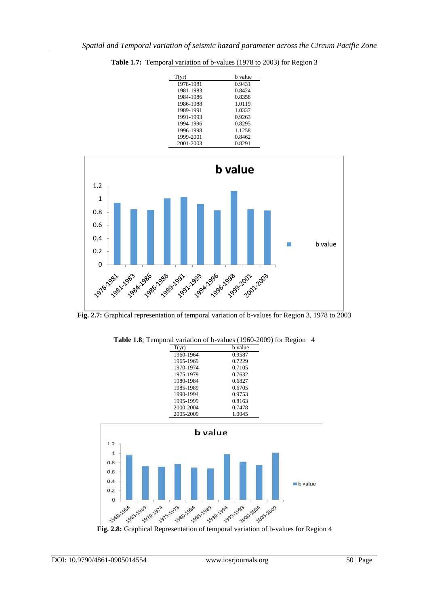| T(vr)     | b value |
|-----------|---------|
| 1978-1981 | 0.9431  |
| 1981-1983 | 0.8424  |
| 1984-1986 | 0.8358  |
| 1986-1988 | 1.0119  |
| 1989-1991 | 1.0337  |
| 1991-1993 | 0.9263  |
| 1994-1996 | 0.8295  |
| 1996-1998 | 1.1258  |
| 1999-2001 | 0.8462  |
| 2001-2003 | 0.8291  |

**Table 1.7:** Temporal variation of b-values (1978 to 2003) for Region 3



**Fig. 2.7:** Graphical representation of temporal variation of b-values for Region 3, 1978 to 2003



**Table 1.8**; Temporal variation of b-values (1960-2009) for Region 4

 $\overline{O}$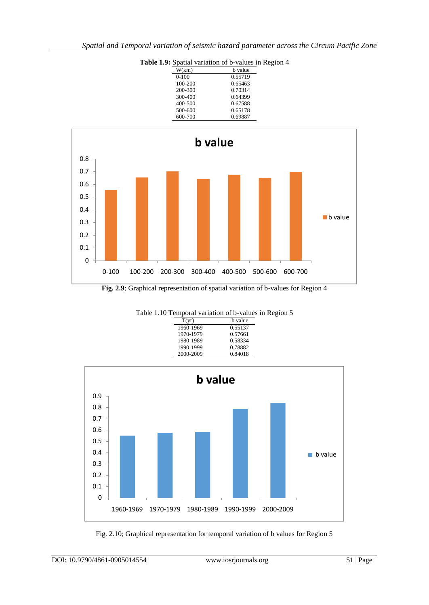| . | $\beta$   |         |  |  |
|---|-----------|---------|--|--|
|   | W(km)     | b value |  |  |
|   | $0 - 100$ | 0.55719 |  |  |
|   | 100-200   | 0.65463 |  |  |
|   | 200-300   | 0.70314 |  |  |
|   | 300-400   | 0.64399 |  |  |
|   | 400-500   | 0.67588 |  |  |
|   | 500-600   | 0.65178 |  |  |
|   | 600-700   | 0.69887 |  |  |
|   |           |         |  |  |





Table 1.10 Temporal variation of b-values in Region 5<br> $\frac{T(yr)}{T(yr)}$  b value  $b$  value  $0.55137$ 1960-1969 0.55137<br>1970-1979 0.57661 1970-1979 0.57661<br>1980-1989 0.58334 1980-1989 0.58334<br>1990-1999 0.78882 1990-1999 2000-2009 0.84018



Fig. 2.10; Graphical representation for temporal variation of b values for Region 5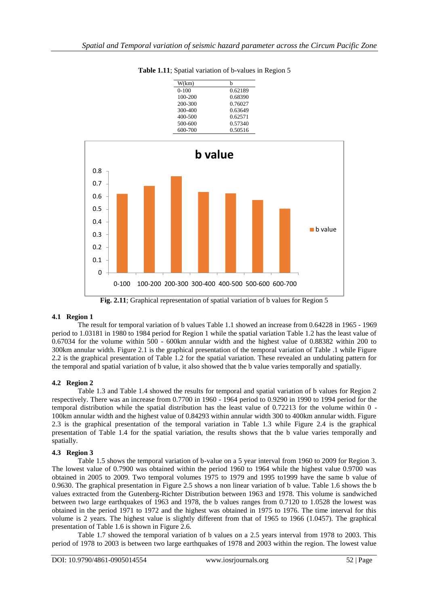| W(km)   | h       |
|---------|---------|
| $0-100$ | 0.62189 |
| 100-200 | 0.68390 |
| 200-300 | 0.76027 |
| 300-400 | 0.63649 |
| 400-500 | 0.62571 |
| 500-600 | 0.57340 |
| 600-700 | 0.50516 |

**Table 1.11**; Spatial variation of b-values in Region 5



**Fig. 2.11**; Graphical representation of spatial variation of b values for Region 5

## **4.1 Region 1**

The result for temporal variation of b values Table 1.1 showed an increase from 0.64228 in 1965 - 1969 period to 1.03181 in 1980 to 1984 period for Region 1 while the spatial variation Table 1.2 has the least value of 0.67034 for the volume within 500 - 600km annular width and the highest value of 0.88382 within 200 to 300km annular width. Figure 2.1 is the graphical presentation of the temporal variation of Table .1 while Figure 2.2 is the graphical presentation of Table 1.2 for the spatial variation. These revealed an undulating pattern for the temporal and spatial variation of b value, it also showed that the b value varies temporally and spatially.

## **4.2 Region 2**

Table 1.3 and Table 1.4 showed the results for temporal and spatial variation of b values for Region 2 respectively. There was an increase from 0.7700 in 1960 - 1964 period to 0.9290 in 1990 to 1994 period for the temporal distribution while the spatial distribution has the least value of 0.72213 for the volume within 0 - 100km annular width and the highest value of 0.84293 within annular width 300 to 400km annular width. Figure 2.3 is the graphical presentation of the temporal variation in Table 1.3 while Figure 2.4 is the graphical presentation of Table 1.4 for the spatial variation, the results shows that the b value varies temporally and spatially.

## **4.3 Region 3**

Table 1.5 shows the temporal variation of b-value on a 5 year interval from 1960 to 2009 for Region 3. The lowest value of 0.7900 was obtained within the period 1960 to 1964 while the highest value 0.9700 was obtained in 2005 to 2009. Two temporal volumes 1975 to 1979 and 1995 to1999 have the same b value of 0.9630. The graphical presentation in Figure 2.5 shows a non linear variation of b value. Table 1.6 shows the b values extracted from the Gutenberg-Richter Distribution between 1963 and 1978. This volume is sandwiched between two large earthquakes of 1963 and 1978, the b values ranges from 0.7120 to 1.0528 the lowest was obtained in the period 1971 to 1972 and the highest was obtained in 1975 to 1976. The time interval for this volume is 2 years. The highest value is slightly different from that of 1965 to 1966 (1.0457). The graphical presentation of Table 1.6 is shown in Figure 2.6.

Table 1.7 showed the temporal variation of b values on a 2.5 years interval from 1978 to 2003. This period of 1978 to 2003 is between two large earthquakes of 1978 and 2003 within the region. The lowest value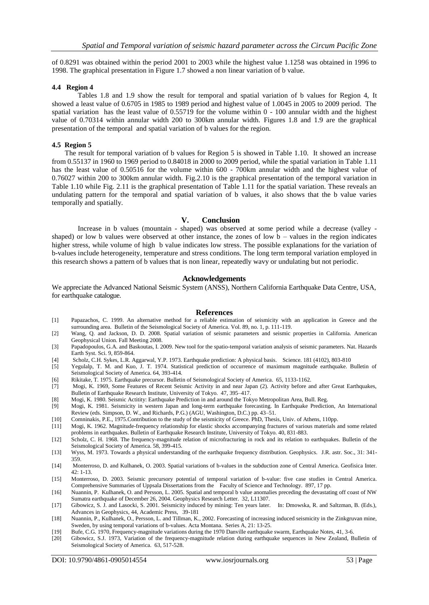of 0.8291 was obtained within the period 2001 to 2003 while the highest value 1.1258 was obtained in 1996 to 1998. The graphical presentation in Figure 1.7 showed a non linear variation of b value.

#### **4.4 Region 4**

Tables 1.8 and 1.9 show the result for temporal and spatial variation of b values for Region 4, It showed a least value of 0.6705 in 1985 to 1989 period and highest value of 1.0045 in 2005 to 2009 period. The spatial variation has the least value of 0.55719 for the volume within 0 - 100 annular width and the highest value of 0.70314 within annular width 200 to 300km annular width. Figures 1.8 and 1.9 are the graphical presentation of the temporal and spatial variation of b values for the region.

#### **4.5 Region 5**

The result for temporal variation of b values for Region 5 is showed in Table 1.10. It showed an increase from 0.55137 in 1960 to 1969 period to 0.84018 in 2000 to 2009 period, while the spatial variation in Table 1.11 has the least value of 0.50516 for the volume within 600 - 700km annular width and the highest value of 0.76027 within 200 to 300km annular width. Fig.2.10 is the graphical presentation of the temporal variation in Table 1.10 while Fig. 2.11 is the graphical presentation of Table 1.11 for the spatial variation. These reveals an undulating pattern for the temporal and spatial variation of b values, it also shows that the b value varies temporally and spatially.

#### **V. Conclusion**

Increase in b values (mountain - shaped) was observed at some period while a decrease (valley shaped) or low b values were observed at other instance, the zones of low  $b -$ values in the region indicates higher stress, while volume of high b value indicates low stress. The possible explanations for the variation of b-values include heterogeneity, temperature and stress conditions. The long term temporal variation employed in this research shows a pattern of b values that is non linear, repeatedly wavy or undulating but not periodic.

## **Acknowledgements**

We appreciate the Advanced National Seismic System (ANSS), Northern California Earthquake Data Centre, USA, for earthquake catalogue.

#### **References**

- [1] Papazachos, C. 1999. An alternative method for a reliable estimation of seismicity with an application in Greece and the surrounding area. Bulletin of the Seismological Society of America. Vol. 89, no. 1, p. 111-119.
- [2] Wang, Q. and Jackson, D. D. 2008. Spatial variation of seismic parameters and seismic properties in California. American Geophysical Union. Fall Meeting 2008.
- [3] Papadopoulos, G.A. and Baskoutas, I. 2009. New tool for the spatio-temporal variation analysis of seismic parameters. Nat. Hazards Earth Syst. Sci. 9, 859-864.
- [4] Scholz, C.H. Sykes, L.R. Aggarwal, Y.P. 1973. Earthquake prediction: A physical basis. Science. 181 (4102), 803-810
- [5] Yegulalp, T. M. and Kuo, J. T. 1974. Statistical prediction of occurrence of maximum magnitude earthquake. Bulletin of Seismological Society of America. 64, 393-414.
- [6] Rikitake, T. 1975. Earthquake precursor. Bulletin of Seismological Society of America. 65, 1133-1162.
- [7] Mogi, K. 1969, Some Features of Recent Seismic Activity in and near Japan (2). Activity before and after Great Earthquakes, Bulletin of Earthquake Research Institute, University of Tokyo. 47, 395–417.
- [8] Mogi, K. 1980. Seismic Actitity: Earthquake Prediction in and around the Tokyo Metropolitan Area, Bull. Reg.
- [9] Mogi, K. 1981. Seismicity in western Japan and long-term earthquake forecasting. In Earthquake Prediction, An International Review (eds. Simpson, D. W., and Richards, P.G.) (AGU, Washington, D.C.) pp. 43–51.
- [10] Comninakis, P.E., 1975.Contribution to the study of the seismicity of Greece. PhD, Thesis, Univ. of Athens, 110pp.
- [11] Mogi, K. 1962. Magnitude-frequency relationship for elastic shocks accompanying fractures of various materials and some related problems in earthquakes. Bulletin of Earthquake Research Institute, University of Tokyo. 40, 831-883.
- [12] Scholz, C. H. 1968. The frequency-magnitude relation of microfracturing in rock and its relation to earthquakes. Bulletin of the Seismological Society of America. 58, 399-415.
- [13] Wyss, M. 1973. Towards a physical understanding of the earthquake frequency distribution. Geophysics. J.R. astr. Soc., 31: 341- 359.
- [14] Monterroso, D. and Kulhanek, O. 2003. Spatial variations of b-values in the subduction zone of Central America. Geofisica Inter. 42: 1-13.
- [15] Monterroso, D. 2003. Seismic precursory potential of temporal variation of b-value: five case studies in Central America. Comprehensive Summaries of Uppsala Dissertations from the Faculty of Science and Technology. 897, 17 pp.
- [16] Nuannin, P. Kulhanek, O. and Persson, L. 2005. Spatial and temporal b value anomalies preceding the devastating off coast of NW Sumatra earthquake of December 26, 2004. Geophysics Research Letter. 32, L11307.
- [17] Gibowicz, S. J. and Lasocki, S. 2001. Seismicity induced by mining: Ten years later. In: Dmowska, R. and Saltzman, B. (Eds.), Advances in Geophysics, 44, Academic Press, 39-181
- [18] Nuannin, P., Kulhanek, O., Persson, L. and Tillman, K., 2002. Forecasting of increasing induced seismicity in the Zinkgruvan mine, Sweden, by using temporal variations of b-values. Acta Montana. Series A, 21: 13-25.
- [19] Bufe, C.G. 1970, Frequency-magnitude variations during the 1970 Danville earthquake swarm, Earthquake Notes, 41, 3-6.
- Gibowicz, S.J. 1973, Variation of the frequency-magnitude relation during earthquake sequences in New Zealand, Bulletin of Seismological Society of America. 63, 517-528.